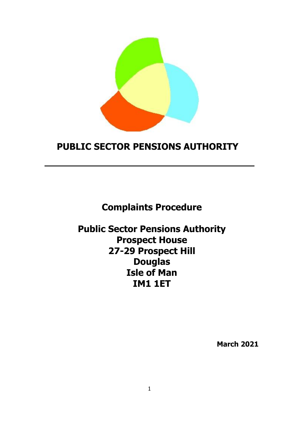

# **PUBLIC SECTOR PENSIONS AUTHORITY**

**Complaints Procedure**

**Public Sector Pensions Authority Prospect House 27-29 Prospect Hill Douglas Isle of Man IM1 1ET**

**March 2021**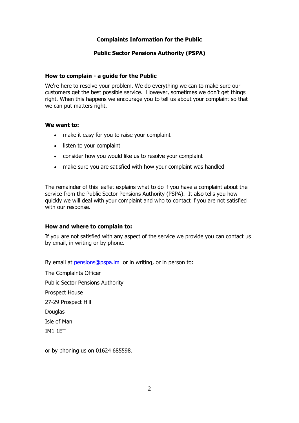# **Complaints Information for the Public**

## **Public Sector Pensions Authority (PSPA)**

#### **How to complain - a guide for the Public**

We're here to resolve your problem. We do everything we can to make sure our customers get the best possible service. However, sometimes we don't get things right. When this happens we encourage you to tell us about your complaint so that we can put matters right.

#### **We want to:**

- make it easy for you to raise your complaint
- listen to your complaint
- consider how you would like us to resolve your complaint
- make sure you are satisfied with how your complaint was handled

The remainder of this leaflet explains what to do if you have a complaint about the service from the Public Sector Pensions Authority (PSPA). It also tells you how quickly we will deal with your complaint and who to contact if you are not satisfied with our response.

#### **How and where to complain to:**

If you are not satisfied with any aspect of the service we provide you can contact us by email, in writing or by phone.

By email at [pensions@pspa.im](mailto:pensions@pspa.im) or in writing, or in person to:

The Complaints Officer Public Sector Pensions Authority Prospect House 27-29 Prospect Hill Douglas Isle of Man IM1 1ET

or by phoning us on 01624 685598.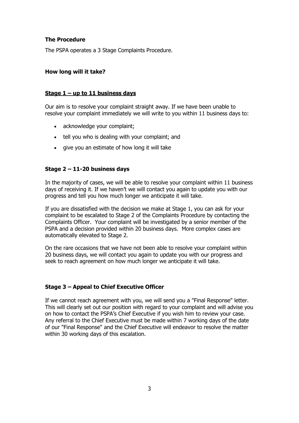# **The Procedure**

The PSPA operates a 3 Stage Complaints Procedure.

## **How long will it take?**

## **Stage 1 – up to 11 business days**

Our aim is to resolve your complaint straight away. If we have been unable to resolve your complaint immediately we will write to you within 11 business days to:

- acknowledge your complaint:
- tell you who is dealing with your complaint; and
- give you an estimate of how long it will take

# **Stage 2 – 11-20 business days**

In the majority of cases, we will be able to resolve your complaint within 11 business days of receiving it. If we haven't we will contact you again to update you with our progress and tell you how much longer we anticipate it will take.

If you are dissatisfied with the decision we make at Stage 1, you can ask for your complaint to be escalated to Stage 2 of the Complaints Procedure by contacting the Complaints Officer. Your complaint will be investigated by a senior member of the PSPA and a decision provided within 20 business days. More complex cases are automatically elevated to Stage 2.

On the rare occasions that we have not been able to resolve your complaint within 20 business days, we will contact you again to update you with our progress and seek to reach agreement on how much longer we anticipate it will take.

# **Stage 3 – Appeal to Chief Executive Officer**

If we cannot reach agreement with you, we will send you a "Final Response" letter. This will clearly set out our position with regard to your complaint and will advise you on how to contact the PSPA's Chief Executive if you wish him to review your case. Any referral to the Chief Executive must be made within 7 working days of the date of our "Final Response" and the Chief Executive will endeavor to resolve the matter within 30 working days of this escalation.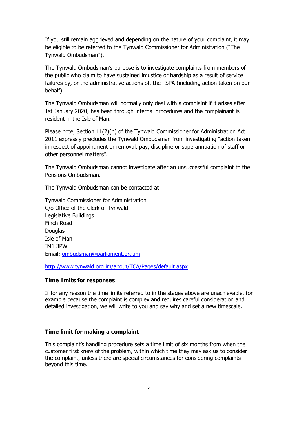If you still remain aggrieved and depending on the nature of your complaint, it may be eligible to be referred to the Tynwald Commissioner for Administration ("The Tynwald Ombudsman").

The Tynwald Ombudsman's purpose is to investigate complaints from members of the public who claim to have sustained injustice or hardship as a result of service failures by, or the administrative actions of, the PSPA (including action taken on our behalf).

The Tynwald Ombudsman will normally only deal with a complaint if it arises after 1st January 2020; has been through internal procedures and the complainant is resident in the Isle of Man.

Please note, Section 11(2)(h) of the Tynwald Commissioner for Administration Act 2011 expressly precludes the Tynwald Ombudsman from investigating "action taken in respect of appointment or removal, pay, discipline or superannuation of staff or other personnel matters".

The Tynwald Ombudsman cannot investigate after an unsuccessful complaint to the Pensions Ombudsman.

The Tynwald Ombudsman can be contacted at:

Tynwald Commissioner for Administration C/o Office of the Clerk of Tynwald Legislative Buildings Finch Road **Douglas** Isle of Man IM1 3PW Email: [ombudsman@parliament.org.im](mailto:ombudsman@parliament.org.im)

<http://www.tynwald.org.im/about/TCA/Pages/default.aspx>

#### **Time limits for responses**

If for any reason the time limits referred to in the stages above are unachievable, for example because the complaint is complex and requires careful consideration and detailed investigation, we will write to you and say why and set a new timescale.

#### **Time limit for making a complaint**

This complaint's handling procedure sets a time limit of six months from when the customer first knew of the problem, within which time they may ask us to consider the complaint, unless there are special circumstances for considering complaints beyond this time.